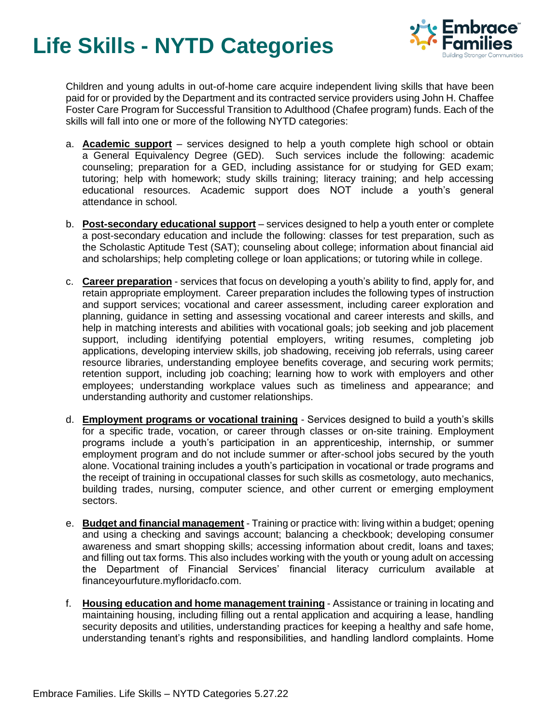## **Life Skills - NYTD Categories**



Children and young adults in out-of-home care acquire independent living skills that have been paid for or provided by the Department and its contracted service providers using John H. Chaffee Foster Care Program for Successful Transition to Adulthood (Chafee program) funds. Each of the skills will fall into one or more of the following NYTD categories:

- a. **Academic support** services designed to help a youth complete high school or obtain a General Equivalency Degree (GED). Such services include the following: academic counseling; preparation for a GED, including assistance for or studying for GED exam; tutoring; help with homework; study skills training; literacy training; and help accessing educational resources. Academic support does NOT include a youth's general attendance in school.
- b. **Post-secondary educational support** services designed to help a youth enter or complete a post-secondary education and include the following: classes for test preparation, such as the Scholastic Aptitude Test (SAT); counseling about college; information about financial aid and scholarships; help completing college or loan applications; or tutoring while in college.
- c. **Career preparation** services that focus on developing a youth's ability to find, apply for, and retain appropriate employment. Career preparation includes the following types of instruction and support services; vocational and career assessment, including career exploration and planning, guidance in setting and assessing vocational and career interests and skills, and help in matching interests and abilities with vocational goals; job seeking and job placement support, including identifying potential employers, writing resumes, completing job applications, developing interview skills, job shadowing, receiving job referrals, using career resource libraries, understanding employee benefits coverage, and securing work permits; retention support, including job coaching; learning how to work with employers and other employees; understanding workplace values such as timeliness and appearance; and understanding authority and customer relationships.
- d. **Employment programs or vocational training** Services designed to build a youth's skills for a specific trade, vocation, or career through classes or on-site training. Employment programs include a youth's participation in an apprenticeship, internship, or summer employment program and do not include summer or after-school jobs secured by the youth alone. Vocational training includes a youth's participation in vocational or trade programs and the receipt of training in occupational classes for such skills as cosmetology, auto mechanics, building trades, nursing, computer science, and other current or emerging employment sectors.
- e. **Budget and financial management** Training or practice with: living within a budget; opening and using a checking and savings account; balancing a checkbook; developing consumer awareness and smart shopping skills; accessing information about credit, loans and taxes; and filling out tax forms. This also includes working with the youth or young adult on accessing the Department of Financial Services' financial literacy curriculum available at financeyourfuture.myfloridacfo.com.
- f. **Housing education and home management training** Assistance or training in locating and maintaining housing, including filling out a rental application and acquiring a lease, handling security deposits and utilities, understanding practices for keeping a healthy and safe home, understanding tenant's rights and responsibilities, and handling landlord complaints. Home